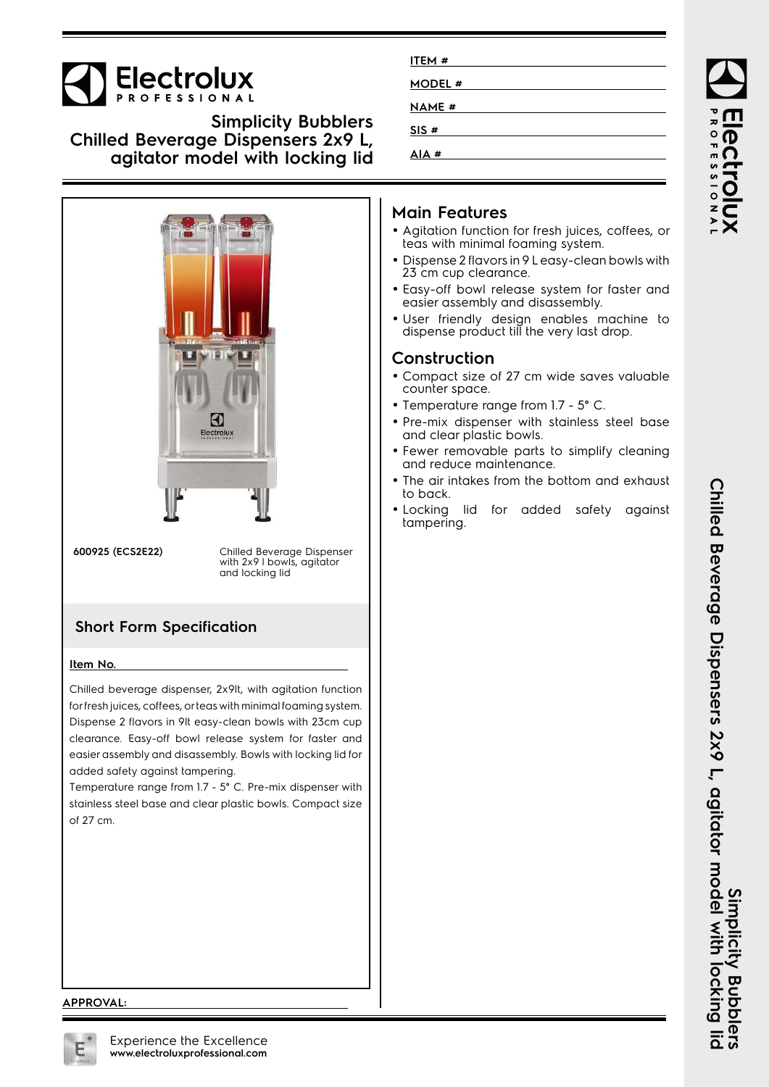

# **Simplicity Bubblers Chilled Beverage Dispensers 2x9 L, agitator model with locking lid**



**600925 (ECS2E22)** Chilled Beverage Dispenser with 2x9 I bowls, agitator and locking lid

# **Short Form Specification**

#### **Item No.**

Chilled beverage dispenser, 2x9lt, with agitation function for fresh juices, coffees, or teas with minimal foaming system. Dispense 2 flavors in 9lt easy-clean bowls with 23cm cup clearance. Easy-off bowl release system for faster and easier assembly and disassembly. Bowls with locking lid for added safety against tampering.

Temperature range from 1.7 - 5° C. Pre-mix dispenser with stainless steel base and clear plastic bowls. Compact size of 27 cm.

| ITEM#        |  |
|--------------|--|
| MODEL #      |  |
| <b>NAME#</b> |  |
| SIS#         |  |
| AIA#         |  |

# **Main Features**

- Agitation function for fresh juices, coffees, or teas with minimal foaming system.
- Dispense 2 flavors in 9 L easy-clean bowls with 23 cm cup clearance.
- Easy-off bowl release system for faster and easier assembly and disassembly.
- User friendly design enables machine to dispense product till the very last drop.

#### **Construction**

- Compact size of 27 cm wide saves valuable counter space.
- Temperature range from 1.7 5° C.
- Pre-mix dispenser with stainless steel base and clear plastic bowls.
- Fewer removable parts to simplify cleaning and reduce maintenance.
- • The air intakes from the bottom and exhaust to back.
- Locking lid for added safety against tampering.

**APPROVAL:**